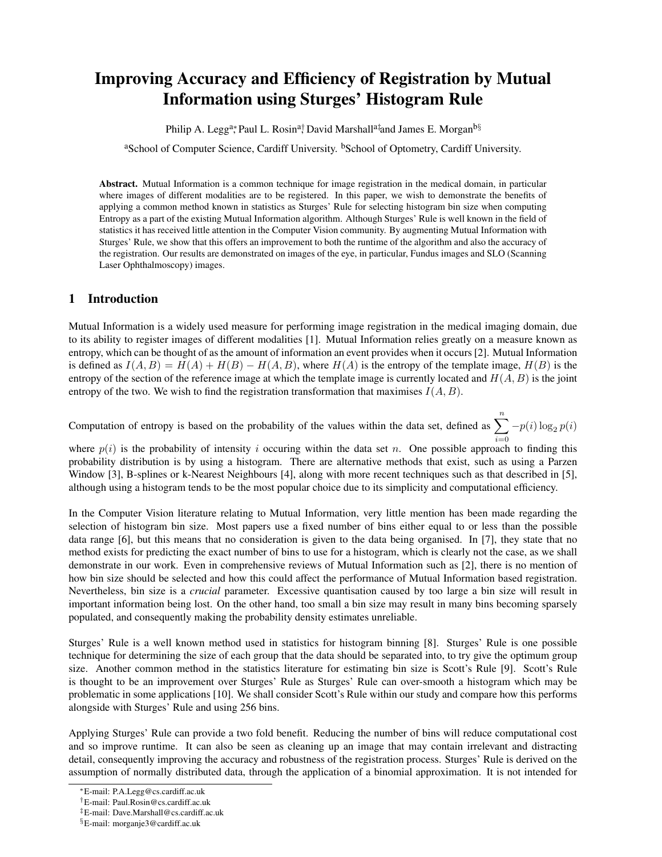# Improving Accuracy and Efficiency of Registration by Mutual Information using Sturges' Histogram Rule

Philip A. Legg<sup>a</sup>\*, Paul L. Rosin<sup>a†</sup>, David Marshall<sup>a‡</sup>and James E. Morgan<sup>b§</sup>

<sup>a</sup>School of Computer Science, Cardiff University. <sup>b</sup>School of Optometry, Cardiff University.

Abstract. Mutual Information is a common technique for image registration in the medical domain, in particular where images of different modalities are to be registered. In this paper, we wish to demonstrate the benefits of applying a common method known in statistics as Sturges' Rule for selecting histogram bin size when computing Entropy as a part of the existing Mutual Information algorithm. Although Sturges' Rule is well known in the field of statistics it has received little attention in the Computer Vision community. By augmenting Mutual Information with Sturges' Rule, we show that this offers an improvement to both the runtime of the algorithm and also the accuracy of the registration. Our results are demonstrated on images of the eye, in particular, Fundus images and SLO (Scanning Laser Ophthalmoscopy) images.

#### 1 Introduction

Mutual Information is a widely used measure for performing image registration in the medical imaging domain, due to its ability to register images of different modalities [1]. Mutual Information relies greatly on a measure known as entropy, which can be thought of as the amount of information an event provides when it occurs [2]. Mutual Information is defined as  $I(A, B) = H(A) + H(B) - H(A, B)$ , where  $H(A)$  is the entropy of the template image,  $H(B)$  is the entropy of the section of the reference image at which the template image is currently located and  $H(A, B)$  is the joint entropy of the two. We wish to find the registration transformation that maximises  $I(A, B)$ .

Computation of entropy is based on the probability of the values within the data set, defined as  $\sum_{n=1}^{n} -p(i) \log_2 p(i)$ 

where  $p(i)$  is the probability of intensity i occuring within the data set n. One possible approach to finding this probability distribution is by using a histogram. There are alternative methods that exist, such as using a Parzen Window [3], B-splines or k-Nearest Neighbours [4], along with more recent techniques such as that described in [5], although using a histogram tends to be the most popular choice due to its simplicity and computational efficiency.

In the Computer Vision literature relating to Mutual Information, very little mention has been made regarding the selection of histogram bin size. Most papers use a fixed number of bins either equal to or less than the possible data range [6], but this means that no consideration is given to the data being organised. In [7], they state that no method exists for predicting the exact number of bins to use for a histogram, which is clearly not the case, as we shall demonstrate in our work. Even in comprehensive reviews of Mutual Information such as [2], there is no mention of how bin size should be selected and how this could affect the performance of Mutual Information based registration. Nevertheless, bin size is a *crucial* parameter. Excessive quantisation caused by too large a bin size will result in important information being lost. On the other hand, too small a bin size may result in many bins becoming sparsely populated, and consequently making the probability density estimates unreliable.

Sturges' Rule is a well known method used in statistics for histogram binning [8]. Sturges' Rule is one possible technique for determining the size of each group that the data should be separated into, to try give the optimum group size. Another common method in the statistics literature for estimating bin size is Scott's Rule [9]. Scott's Rule is thought to be an improvement over Sturges' Rule as Sturges' Rule can over-smooth a histogram which may be problematic in some applications [10]. We shall consider Scott's Rule within our study and compare how this performs alongside with Sturges' Rule and using 256 bins.

Applying Sturges' Rule can provide a two fold benefit. Reducing the number of bins will reduce computational cost and so improve runtime. It can also be seen as cleaning up an image that may contain irrelevant and distracting detail, consequently improving the accuracy and robustness of the registration process. Sturges' Rule is derived on the assumption of normally distributed data, through the application of a binomial approximation. It is not intended for

<sup>∗</sup>E-mail: P.A.Legg@cs.cardiff.ac.uk

<sup>†</sup>E-mail: Paul.Rosin@cs.cardiff.ac.uk

<sup>‡</sup>E-mail: Dave.Marshall@cs.cardiff.ac.uk

<sup>§</sup>E-mail: morganje3@cardiff.ac.uk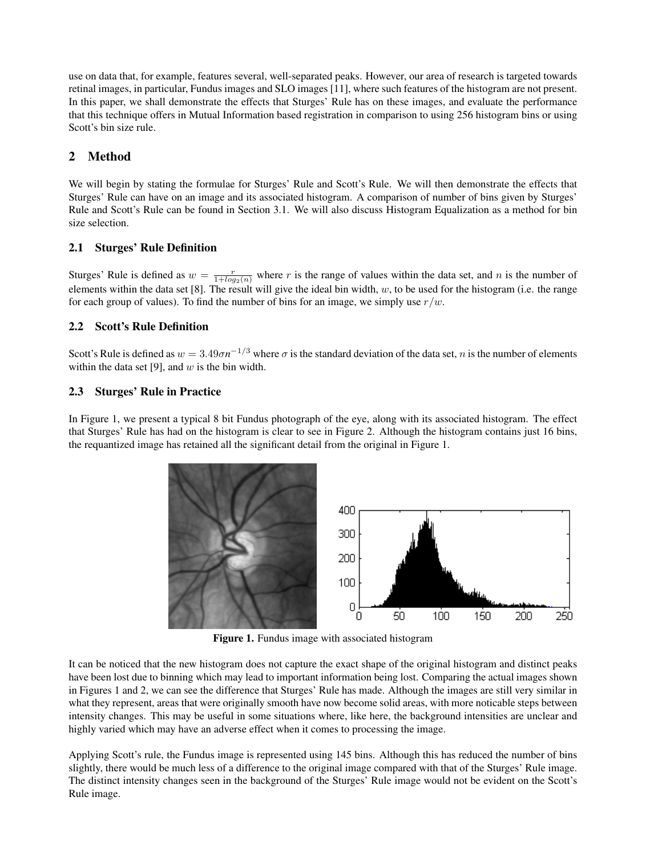use on data that, for example, features several, well-separated peaks. However, our area of research is targeted towards retinal images, in particular, Fundus images and SLO images [11], where such features of the histogram are not present. In this paper, we shall demonstrate the effects that Sturges' Rule has on these images, and evaluate the performance that this technique offers in Mutual Information based registration in comparison to using 256 histogram bins or using Scott's bin size rule.

# 2 Method

We will begin by stating the formulae for Sturges' Rule and Scott's Rule. We will then demonstrate the effects that Sturges' Rule can have on an image and its associated histogram. A comparison of number of bins given by Sturges' Rule and Scott's Rule can be found in Section 3.1. We will also discuss Histogram Equalization as a method for bin size selection.

## 2.1 Sturges' Rule Definition

Sturges' Rule is defined as  $w = \frac{r}{1 + log_2(n)}$  where r is the range of values within the data set, and n is the number of elements within the data set  $[8]$ . The result will give the ideal bin width,  $w$ , to be used for the histogram (i.e. the range for each group of values). To find the number of bins for an image, we simply use  $r/w$ .

## 2.2 Scott's Rule Definition

Scott's Rule is defined as  $w = 3.49 \sigma n^{-1/3}$  where  $\sigma$  is the standard deviation of the data set, n is the number of elements within the data set [9], and  $w$  is the bin width.

## 2.3 Sturges' Rule in Practice

In Figure 1, we present a typical 8 bit Fundus photograph of the eye, along with its associated histogram. The effect that Sturges' Rule has had on the histogram is clear to see in Figure 2. Although the histogram contains just 16 bins, the requantized image has retained all the significant detail from the original in Figure 1.



Figure 1. Fundus image with associated histogram

It can be noticed that the new histogram does not capture the exact shape of the original histogram and distinct peaks have been lost due to binning which may lead to important information being lost. Comparing the actual images shown in Figures 1 and 2, we can see the difference that Sturges' Rule has made. Although the images are still very similar in what they represent, areas that were originally smooth have now become solid areas, with more noticable steps between intensity changes. This may be useful in some situations where, like here, the background intensities are unclear and highly varied which may have an adverse effect when it comes to processing the image.

Applying Scott's rule, the Fundus image is represented using 145 bins. Although this has reduced the number of bins slightly, there would be much less of a difference to the original image compared with that of the Sturges' Rule image. The distinct intensity changes seen in the background of the Sturges' Rule image would not be evident on the Scott's Rule image.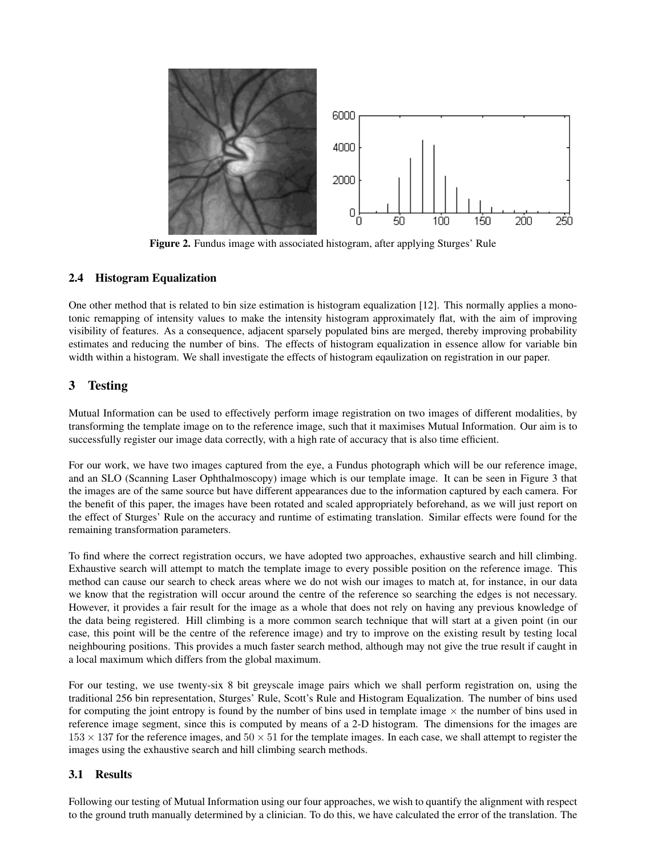

Figure 2. Fundus image with associated histogram, after applying Sturges' Rule

#### 2.4 Histogram Equalization

One other method that is related to bin size estimation is histogram equalization [12]. This normally applies a monotonic remapping of intensity values to make the intensity histogram approximately flat, with the aim of improving visibility of features. As a consequence, adjacent sparsely populated bins are merged, thereby improving probability estimates and reducing the number of bins. The effects of histogram equalization in essence allow for variable bin width within a histogram. We shall investigate the effects of histogram eqaulization on registration in our paper.

## 3 Testing

Mutual Information can be used to effectively perform image registration on two images of different modalities, by transforming the template image on to the reference image, such that it maximises Mutual Information. Our aim is to successfully register our image data correctly, with a high rate of accuracy that is also time efficient.

For our work, we have two images captured from the eye, a Fundus photograph which will be our reference image, and an SLO (Scanning Laser Ophthalmoscopy) image which is our template image. It can be seen in Figure 3 that the images are of the same source but have different appearances due to the information captured by each camera. For the benefit of this paper, the images have been rotated and scaled appropriately beforehand, as we will just report on the effect of Sturges' Rule on the accuracy and runtime of estimating translation. Similar effects were found for the remaining transformation parameters.

To find where the correct registration occurs, we have adopted two approaches, exhaustive search and hill climbing. Exhaustive search will attempt to match the template image to every possible position on the reference image. This method can cause our search to check areas where we do not wish our images to match at, for instance, in our data we know that the registration will occur around the centre of the reference so searching the edges is not necessary. However, it provides a fair result for the image as a whole that does not rely on having any previous knowledge of the data being registered. Hill climbing is a more common search technique that will start at a given point (in our case, this point will be the centre of the reference image) and try to improve on the existing result by testing local neighbouring positions. This provides a much faster search method, although may not give the true result if caught in a local maximum which differs from the global maximum.

For our testing, we use twenty-six 8 bit greyscale image pairs which we shall perform registration on, using the traditional 256 bin representation, Sturges' Rule, Scott's Rule and Histogram Equalization. The number of bins used for computing the joint entropy is found by the number of bins used in template image  $\times$  the number of bins used in reference image segment, since this is computed by means of a 2-D histogram. The dimensions for the images are  $153 \times 137$  for the reference images, and  $50 \times 51$  for the template images. In each case, we shall attempt to register the images using the exhaustive search and hill climbing search methods.

#### 3.1 Results

Following our testing of Mutual Information using our four approaches, we wish to quantify the alignment with respect to the ground truth manually determined by a clinician. To do this, we have calculated the error of the translation. The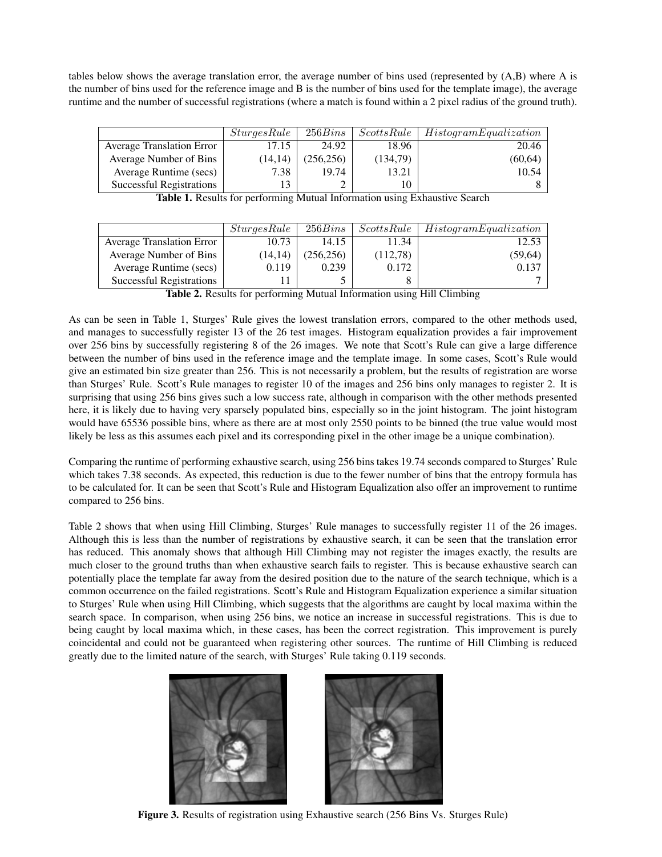tables below shows the average translation error, the average number of bins used (represented by (A,B) where A is the number of bins used for the reference image and B is the number of bins used for the template image), the average runtime and the number of successful registrations (where a match is found within a 2 pixel radius of the ground truth).

|                                  | <i>SturgesRule</i> | 256Bins    | $ScottsRule$ | <i>HistogramEqualization</i> |
|----------------------------------|--------------------|------------|--------------|------------------------------|
| <b>Average Translation Error</b> | 17.15              | 24.92      | 18.96        | 20.46                        |
| Average Number of Bins           | (14, 14)           | (256, 256) | (134,79)     | (60, 64)                     |
| Average Runtime (secs)           | 7.38               | 19.74      | 13.21        | 10.54                        |
| <b>Successful Registrations</b>  |                    |            | $\Omega$     |                              |

| SturgesRule | 256Bins    | ScottsRule | HistogramEqualization |
|-------------|------------|------------|-----------------------|
| 10.73       | 14.15      | 11.34      | 12.53                 |
| (14, 14)    | (256, 256) | (112,78)   | (59, 64)              |
| 0.119       | 0.239      | 0.172      | 0.137                 |
|             |            |            |                       |
|             |            |            |                       |

| Table 1. Results for performing Mutual Information using Exhaustive Search |  |  |
|----------------------------------------------------------------------------|--|--|

Table 2. Results for performing Mutual Information using Hill Climbing

As can be seen in Table 1, Sturges' Rule gives the lowest translation errors, compared to the other methods used, and manages to successfully register 13 of the 26 test images. Histogram equalization provides a fair improvement over 256 bins by successfully registering 8 of the 26 images. We note that Scott's Rule can give a large difference between the number of bins used in the reference image and the template image. In some cases, Scott's Rule would give an estimated bin size greater than 256. This is not necessarily a problem, but the results of registration are worse than Sturges' Rule. Scott's Rule manages to register 10 of the images and 256 bins only manages to register 2. It is surprising that using 256 bins gives such a low success rate, although in comparison with the other methods presented here, it is likely due to having very sparsely populated bins, especially so in the joint histogram. The joint histogram would have 65536 possible bins, where as there are at most only 2550 points to be binned (the true value would most likely be less as this assumes each pixel and its corresponding pixel in the other image be a unique combination).

Comparing the runtime of performing exhaustive search, using 256 bins takes 19.74 seconds compared to Sturges' Rule which takes 7.38 seconds. As expected, this reduction is due to the fewer number of bins that the entropy formula has to be calculated for. It can be seen that Scott's Rule and Histogram Equalization also offer an improvement to runtime compared to 256 bins.

Table 2 shows that when using Hill Climbing, Sturges' Rule manages to successfully register 11 of the 26 images. Although this is less than the number of registrations by exhaustive search, it can be seen that the translation error has reduced. This anomaly shows that although Hill Climbing may not register the images exactly, the results are much closer to the ground truths than when exhaustive search fails to register. This is because exhaustive search can potentially place the template far away from the desired position due to the nature of the search technique, which is a common occurrence on the failed registrations. Scott's Rule and Histogram Equalization experience a similar situation to Sturges' Rule when using Hill Climbing, which suggests that the algorithms are caught by local maxima within the search space. In comparison, when using 256 bins, we notice an increase in successful registrations. This is due to being caught by local maxima which, in these cases, has been the correct registration. This improvement is purely coincidental and could not be guaranteed when registering other sources. The runtime of Hill Climbing is reduced greatly due to the limited nature of the search, with Sturges' Rule taking 0.119 seconds.



Figure 3. Results of registration using Exhaustive search (256 Bins Vs. Sturges Rule)